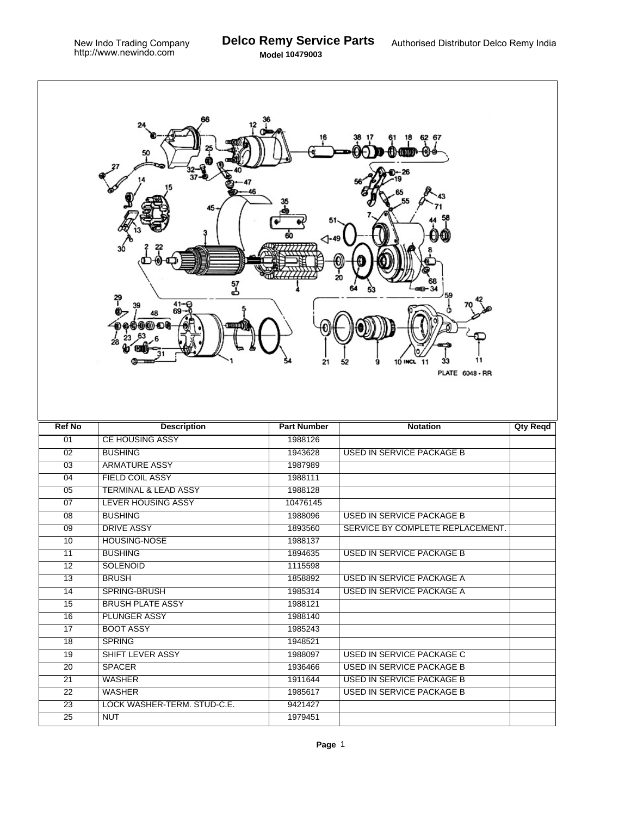| 6267<br>20<br>57<br>군<br>41-€<br>69<br>11<br>10 INCL<br>21<br>9<br>11<br>52<br><b>PLATE 6048 - RR</b> |                                           |                    |                                  |                 |  |  |  |
|-------------------------------------------------------------------------------------------------------|-------------------------------------------|--------------------|----------------------------------|-----------------|--|--|--|
|                                                                                                       |                                           |                    |                                  |                 |  |  |  |
| <b>Ref No</b>                                                                                         | <b>Description</b>                        | <b>Part Number</b> | <b>Notation</b>                  | <b>Qty Reqd</b> |  |  |  |
| 01                                                                                                    | <b>CE HOUSING ASSY</b>                    | 1988126            |                                  |                 |  |  |  |
| 02                                                                                                    | <b>BUSHING</b>                            | 1943628            | <b>USED IN SERVICE PACKAGE B</b> |                 |  |  |  |
| $\overline{03}$                                                                                       | <b>ARMATURE ASSY</b>                      | 1987989            |                                  |                 |  |  |  |
| $\overline{04}$                                                                                       | <b>FIELD COIL ASSY</b>                    | 1988111            |                                  |                 |  |  |  |
| 05                                                                                                    | <b>TERMINAL &amp; LEAD ASSY</b>           | 1988128            |                                  |                 |  |  |  |
| 07                                                                                                    | <b>LEVER HOUSING ASSY</b>                 | 10476145           |                                  |                 |  |  |  |
| $\overline{08}$                                                                                       | <b>BUSHING</b>                            | 1988096            | <b>USED IN SERVICE PACKAGE B</b> |                 |  |  |  |
| 09                                                                                                    | <b>DRIVE ASSY</b>                         | 1893560            | SERVICE BY COMPLETE REPLACEMENT. |                 |  |  |  |
| 10                                                                                                    | <b>HOUSING-NOSE</b>                       | 1988137            |                                  |                 |  |  |  |
| 11                                                                                                    | <b>BUSHING</b>                            | 1894635            | USED IN SERVICE PACKAGE B        |                 |  |  |  |
| $\overline{12}$                                                                                       | <b>SOLENOID</b>                           | 1115598            |                                  |                 |  |  |  |
| 13                                                                                                    | <b>BRUSH</b>                              | 1858892            | <b>USED IN SERVICE PACKAGE A</b> |                 |  |  |  |
| 14                                                                                                    | SPRING-BRUSH                              | 1985314            | USED IN SERVICE PACKAGE A        |                 |  |  |  |
| 15                                                                                                    | <b>BRUSH PLATE ASSY</b>                   | 1988121            |                                  |                 |  |  |  |
| $\overline{16}$                                                                                       | <b>PLUNGER ASSY</b>                       | 1988140            |                                  |                 |  |  |  |
| 17                                                                                                    | <b>BOOT ASSY</b>                          | 1985243            |                                  |                 |  |  |  |
| $\overline{18}$                                                                                       | <b>SPRING</b>                             | 1948521            |                                  |                 |  |  |  |
| 19                                                                                                    | SHIFT LEVER ASSY                          | 1988097            | <b>USED IN SERVICE PACKAGE C</b> |                 |  |  |  |
| 20                                                                                                    | <b>SPACER</b>                             | 1936466            | <b>USED IN SERVICE PACKAGE B</b> |                 |  |  |  |
| 21                                                                                                    | <b>WASHER</b>                             | 1911644            | <b>USED IN SERVICE PACKAGE B</b> |                 |  |  |  |
| $\overline{22}$                                                                                       | <b>WASHER</b>                             | 1985617            | USED IN SERVICE PACKAGE B        |                 |  |  |  |
| 23<br>$\overline{25}$                                                                                 | LOCK WASHER-TERM. STUD-C.E.<br><b>NUT</b> | 9421427<br>1979451 |                                  |                 |  |  |  |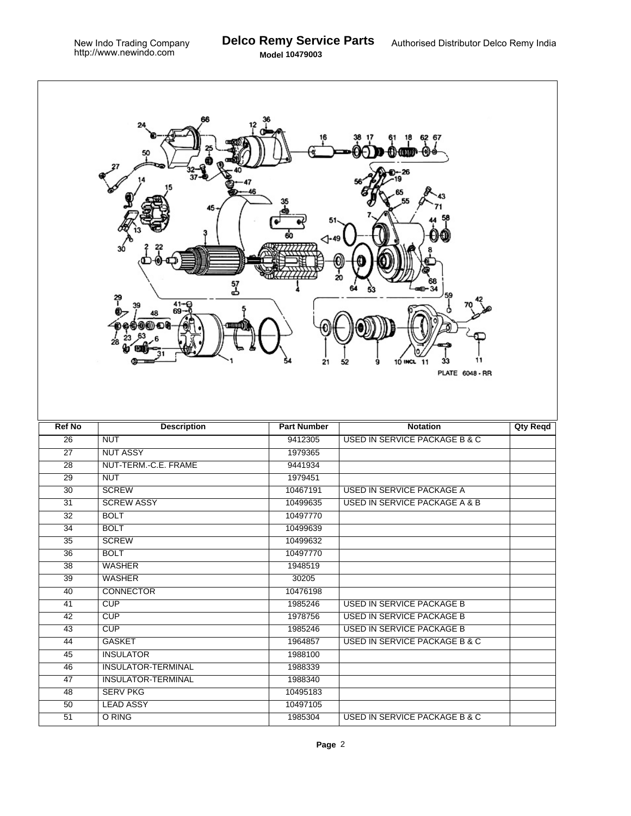| 6267<br>20<br>57<br>م<br>41-<br>69-<br>39<br>11<br><b>10 INCL</b><br>21<br>-11<br>52<br>9<br><b>PLATE 6048 - RR</b> |                           |                    |                                          |                 |  |  |  |
|---------------------------------------------------------------------------------------------------------------------|---------------------------|--------------------|------------------------------------------|-----------------|--|--|--|
| <b>Ref No</b>                                                                                                       | <b>Description</b>        | <b>Part Number</b> | <b>Notation</b>                          | <b>Qty Reqd</b> |  |  |  |
| $\overline{26}$                                                                                                     | <b>NUT</b>                | 9412305            | <b>USED IN SERVICE PACKAGE B &amp; C</b> |                 |  |  |  |
| $\overline{27}$                                                                                                     | <b>NUT ASSY</b>           | 1979365            |                                          |                 |  |  |  |
| $\overline{28}$                                                                                                     | NUT-TERM.-C.E. FRAME      | 9441934            |                                          |                 |  |  |  |
| $\overline{29}$                                                                                                     | <b>NUT</b>                | 1979451            |                                          |                 |  |  |  |
| 30                                                                                                                  | <b>SCREW</b>              | 10467191           | <b>USED IN SERVICE PACKAGE A</b>         |                 |  |  |  |
| $\overline{31}$                                                                                                     | <b>SCREW ASSY</b>         | 10499635           | <b>USED IN SERVICE PACKAGE A &amp; B</b> |                 |  |  |  |
| $\overline{32}$                                                                                                     | <b>BOLT</b>               | 10497770           |                                          |                 |  |  |  |
| 34                                                                                                                  | <b>BOLT</b>               | 10499639           |                                          |                 |  |  |  |
| $\overline{35}$                                                                                                     | <b>SCREW</b>              | 10499632           |                                          |                 |  |  |  |
| 36                                                                                                                  | <b>BOLT</b>               | 10497770           |                                          |                 |  |  |  |
| 38                                                                                                                  | <b>WASHER</b>             | 1948519            |                                          |                 |  |  |  |
| $\overline{39}$                                                                                                     | <b>WASHER</b>             | 30205              |                                          |                 |  |  |  |
| 40                                                                                                                  | <b>CONNECTOR</b>          | 10476198           |                                          |                 |  |  |  |
| 41                                                                                                                  | CUP                       | 1985246            | USED IN SERVICE PACKAGE B                |                 |  |  |  |
| $\overline{42}$                                                                                                     | CUP                       | 1978756            | <b>USED IN SERVICE PACKAGE B</b>         |                 |  |  |  |
| 43                                                                                                                  | CUP                       | 1985246            | <b>USED IN SERVICE PACKAGE B</b>         |                 |  |  |  |
| 44                                                                                                                  | <b>GASKET</b>             | 1964857            | <b>USED IN SERVICE PACKAGE B &amp; C</b> |                 |  |  |  |
| 45                                                                                                                  | <b>INSULATOR</b>          | 1988100            |                                          |                 |  |  |  |
| 46                                                                                                                  | <b>INSULATOR-TERMINAL</b> | 1988339            |                                          |                 |  |  |  |
| $\overline{47}$                                                                                                     | <b>INSULATOR-TERMINAL</b> | 1988340            |                                          |                 |  |  |  |
| 48                                                                                                                  | <b>SERV PKG</b>           | 10495183           |                                          |                 |  |  |  |
| 50                                                                                                                  | <b>LEAD ASSY</b>          | 10497105           |                                          |                 |  |  |  |
| $\overline{51}$                                                                                                     | O RING                    | 1985304            | <b>USED IN SERVICE PACKAGE B &amp; C</b> |                 |  |  |  |